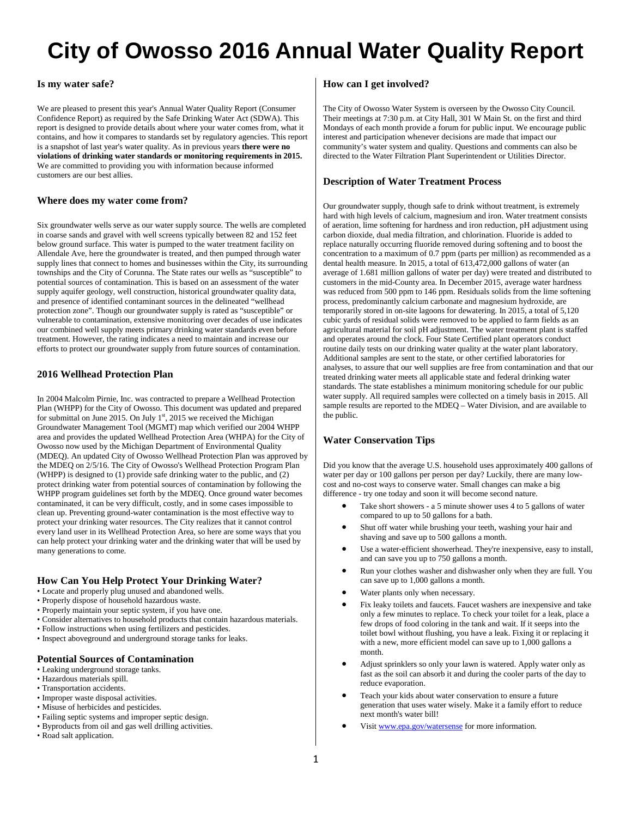# **City of Owosso 2016 Annual Water Quality Report**

#### **Is my water safe?**

We are pleased to present this year's Annual Water Quality Report (Consumer Confidence Report) as required by the Safe Drinking Water Act (SDWA). This report is designed to provide details about where your water comes from, what it contains, and how it compares to standards set by regulatory agencies. This report is a snapshot of last year's water quality. As in previous years **there were no violations of drinking water standards or monitoring requirements in 2015.**  We are committed to providing you with information because informed customers are our best allies.

#### **Where does my water come from?**

Six groundwater wells serve as our water supply source. The wells are completed in coarse sands and gravel with well screens typically between 82 and 152 feet below ground surface. This water is pumped to the water treatment facility on Allendale Ave, here the groundwater is treated, and then pumped through water supply lines that connect to homes and businesses within the City, its surrounding townships and the City of Corunna. The State rates our wells as "susceptible" to potential sources of contamination. This is based on an assessment of the water supply aquifer geology, well construction, historical groundwater quality data, and presence of identified contaminant sources in the delineated "wellhead protection zone". Though our groundwater supply is rated as "susceptible" or vulnerable to contamination, extensive monitoring over decades of use indicates our combined well supply meets primary drinking water standards even before treatment. However, the rating indicates a need to maintain and increase our efforts to protect our groundwater supply from future sources of contamination.

## **2016 Wellhead Protection Plan**

In 2004 Malcolm Pirnie, Inc. was contracted to prepare a Wellhead Protection Plan (WHPP) for the City of Owosso. This document was updated and prepared for submittal on June 2015. On July 1<sup>st</sup>, 2015 we received the Michigan Groundwater Management Tool (MGMT) map which verified our 2004 WHPP area and provides the updated Wellhead Protection Area (WHPA) for the City of Owosso now used by the Michigan Department of Environmental Quality (MDEQ). An updated City of Owosso Wellhead Protection Plan was approved by the MDEQ on 2/5/16. The City of Owosso's Wellhead Protection Program Plan (WHPP) is designed to (1) provide safe drinking water to the public, and (2) protect drinking water from potential sources of contamination by following the WHPP program guidelines set forth by the MDEQ. Once ground water becomes contaminated, it can be very difficult, costly, and in some cases impossible to clean up. Preventing ground-water contamination is the most effective way to protect your drinking water resources. The City realizes that it cannot control every land user in its Wellhead Protection Area, so here are some ways that you can help protect your drinking water and the drinking water that will be used by many generations to come.

#### **How Can You Help Protect Your Drinking Water?**

- Locate and properly plug unused and abandoned wells.
- Properly dispose of household hazardous waste.
- Properly maintain your septic system, if you have one.
- Consider alternatives to household products that contain hazardous materials.
- Follow instructions when using fertilizers and pesticides.
- Inspect aboveground and underground storage tanks for leaks.

#### **Potential Sources of Contamination**

- Leaking underground storage tanks.
- Hazardous materials spill.
- Transportation accidents.
- Improper waste disposal activities.
- Misuse of herbicides and pesticides.
- Failing septic systems and improper septic design. • Byproducts from oil and gas well drilling activities.
- Road salt application.

#### **How can I get involved?**

The City of Owosso Water System is overseen by the Owosso City Council. Their meetings at 7:30 p.m. at City Hall, 301 W Main St. on the first and third Mondays of each month provide a forum for public input. We encourage public interest and participation whenever decisions are made that impact our community's water system and quality. Questions and comments can also be directed to the Water Filtration Plant Superintendent or Utilities Director.

#### **Description of Water Treatment Process**

Our groundwater supply, though safe to drink without treatment, is extremely hard with high levels of calcium, magnesium and iron. Water treatment consists of aeration, lime softening for hardness and iron reduction, pH adjustment using carbon dioxide, dual media filtration, and chlorination. Fluoride is added to replace naturally occurring fluoride removed during softening and to boost the concentration to a maximum of 0.7 ppm (parts per million) as recommended as a dental health measure. In 2015, a total of 613,472,000 gallons of water (an average of 1.681 million gallons of water per day) were treated and distributed to customers in the mid-County area. In December 2015, average water hardness was reduced from 500 ppm to 146 ppm. Residuals solids from the lime softening process, predominantly calcium carbonate and magnesium hydroxide, are temporarily stored in on-site lagoons for dewatering. In 2015, a total of 5,120 cubic yards of residual solids were removed to be applied to farm fields as an agricultural material for soil pH adjustment. The water treatment plant is staffed and operates around the clock. Four State Certified plant operators conduct routine daily tests on our drinking water quality at the water plant laboratory. Additional samples are sent to the state, or other certified laboratories for analyses, to assure that our well supplies are free from contamination and that our treated drinking water meets all applicable state and federal drinking water standards. The state establishes a minimum monitoring schedule for our public water supply. All required samples were collected on a timely basis in 2015. All sample results are reported to the MDEQ – Water Division, and are available to the public.

#### **Water Conservation Tips**

Did you know that the average U.S. household uses approximately 400 gallons of water per day or 100 gallons per person per day? Luckily, there are many lowcost and no-cost ways to conserve water. Small changes can make a big difference - try one today and soon it will become second nature.

- Take short showers a 5 minute shower uses 4 to 5 gallons of water compared to up to 50 gallons for a bath.
- Shut off water while brushing your teeth, washing your hair and shaving and save up to 500 gallons a month.
- Use a water-efficient showerhead. They're inexpensive, easy to install, and can save you up to 750 gallons a month.
- Run your clothes washer and dishwasher only when they are full. You can save up to 1,000 gallons a month.
- Water plants only when necessary.
- Fix leaky toilets and faucets. Faucet washers are inexpensive and take only a few minutes to replace. To check your toilet for a leak, place a few drops of food coloring in the tank and wait. If it seeps into the toilet bowl without flushing, you have a leak. Fixing it or replacing it with a new, more efficient model can save up to 1,000 gallons a month.
- Adjust sprinklers so only your lawn is watered. Apply water only as fast as the soil can absorb it and during the cooler parts of the day to reduce evaporation.
- Teach your kids about water conservation to ensure a future generation that uses water wisely. Make it a family effort to reduce next month's water bill!
- Visit [www.epa.gov/watersense](http://www.epa.gov/watersense) for more information.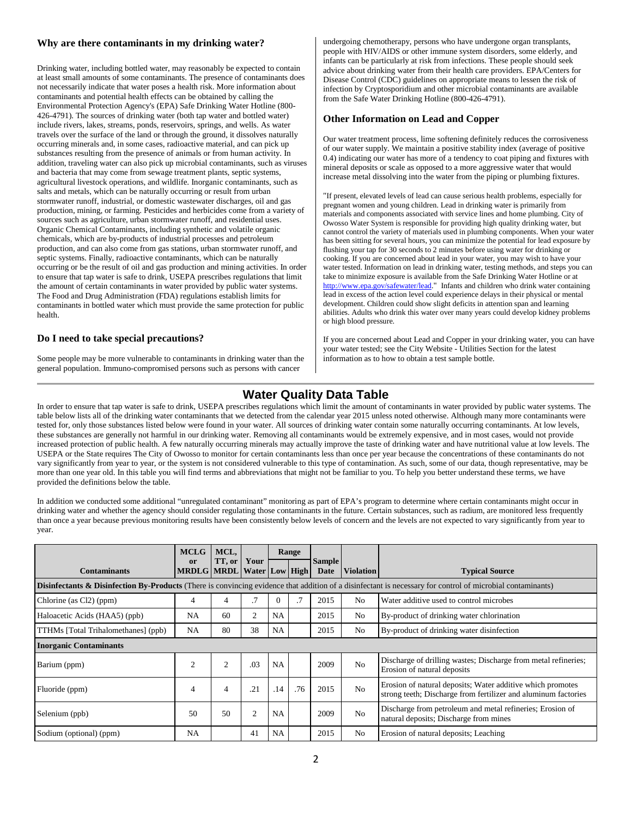## **Why are there contaminants in my drinking water?**

Drinking water, including bottled water, may reasonably be expected to contain at least small amounts of some contaminants. The presence of contaminants does not necessarily indicate that water poses a health risk. More information about contaminants and potential health effects can be obtained by calling the Environmental Protection Agency's (EPA) Safe Drinking Water Hotline (800- 426-4791). The sources of drinking water (both tap water and bottled water) include rivers, lakes, streams, ponds, reservoirs, springs, and wells. As water travels over the surface of the land or through the ground, it dissolves naturally occurring minerals and, in some cases, radioactive material, and can pick up substances resulting from the presence of animals or from human activity. In addition, traveling water can also pick up microbial contaminants, such as viruses and bacteria that may come from sewage treatment plants, septic systems, agricultural livestock operations, and wildlife. Inorganic contaminants, such as salts and metals, which can be naturally occurring or result from urban stormwater runoff, industrial, or domestic wastewater discharges, oil and gas production, mining, or farming. Pesticides and herbicides come from a variety of sources such as agriculture, urban stormwater runoff, and residential uses. Organic Chemical Contaminants, including synthetic and volatile organic chemicals, which are by-products of industrial processes and petroleum production, and can also come from gas stations, urban stormwater runoff, and septic systems. Finally, radioactive contaminants, which can be naturally occurring or be the result of oil and gas production and mining activities. In order to ensure that tap water is safe to drink, USEPA prescribes regulations that limit the amount of certain contaminants in water provided by public water systems. The Food and Drug Administration (FDA) regulations establish limits for contaminants in bottled water which must provide the same protection for public health.

## **Do I need to take special precautions?**

Some people may be more vulnerable to contaminants in drinking water than the general population. Immuno-compromised persons such as persons with cancer

undergoing chemotherapy, persons who have undergone organ transplants, people with HIV/AIDS or other immune system disorders, some elderly, and infants can be particularly at risk from infections. These people should seek advice about drinking water from their health care providers. EPA/Centers for Disease Control (CDC) guidelines on appropriate means to lessen the risk of infection by Cryptosporidium and other microbial contaminants are available from the Safe Water Drinking Hotline (800-426-4791).

#### **Other Information on Lead and Copper**

Our water treatment process, lime softening definitely reduces the corrosiveness of our water supply. We maintain a positive stability index (average of positive 0.4) indicating our water has more of a tendency to coat piping and fixtures with mineral deposits or scale as opposed to a more aggressive water that would increase metal dissolving into the water from the piping or plumbing fixtures.

"If present, elevated levels of lead can cause serious health problems, especially for pregnant women and young children. Lead in drinking water is primarily from materials and components associated with service lines and home plumbing. City of Owosso Water System is responsible for providing high quality drinking water, but cannot control the variety of materials used in plumbing components. When your water has been sitting for several hours, you can minimize the potential for lead exposure by flushing your tap for 30 seconds to 2 minutes before using water for drinking or cooking. If you are concerned about lead in your water, you may wish to have your water tested. Information on lead in drinking water, testing methods, and steps you can take to minimize exposure is available from the Safe Drinking Water Hotline or at [http://www.epa.gov/safewater/lead.](http://www.epa.gov/safewater/lead)" Infants and children who drink water containing lead in excess of the action level could experience delays in their physical or mental development. Children could show slight deficits in attention span and learning abilities. Adults who drink this water over many years could develop kidney problems or high blood pressure.

If you are concerned about Lead and Copper in your drinking water, you can have your water tested; see the City Website - Utilities Section for the latest information as to how to obtain a test sample bottle.

# **Water Quality Data Table**

In order to ensure that tap water is safe to drink, USEPA prescribes regulations which limit the amount of contaminants in water provided by public water systems. The table below lists all of the drinking water contaminants that we detected from the calendar year 2015 unless noted otherwise. Although many more contaminants were tested for, only those substances listed below were found in your water. All sources of drinking water contain some naturally occurring contaminants. At low levels, these substances are generally not harmful in our drinking water. Removing all contaminants would be extremely expensive, and in most cases, would not provide increased protection of public health. A few naturally occurring minerals may actually improve the taste of drinking water and have nutritional value at low levels. The USEPA or the State requires The City of Owosso to monitor for certain contaminants less than once per year because the concentrations of these contaminants do not vary significantly from year to year, or the system is not considered vulnerable to this type of contamination. As such, some of our data, though representative, may be more than one year old. In this table you will find terms and abbreviations that might not be familiar to you. To help you better understand these terms, we have provided the definitions below the table.

In addition we conducted some additional "unregulated contaminant" monitoring as part of EPA's program to determine where certain contaminants might occur in drinking water and whether the agency should consider regulating those contaminants in the future. Certain substances, such as radium, are monitored less frequently than once a year because previous monitoring results have been consistently below levels of concern and the levels are not expected to vary significantly from year to year.

|                                                                                                                                                                       | <b>MCLG</b><br><sub>or</sub> | MCL,<br>TT, or | Your           |           | Range | <b>Sample</b> |                  |                                                                                                                              |  |
|-----------------------------------------------------------------------------------------------------------------------------------------------------------------------|------------------------------|----------------|----------------|-----------|-------|---------------|------------------|------------------------------------------------------------------------------------------------------------------------------|--|
| <b>Contaminants</b>                                                                                                                                                   | MRDLG MRDL Water Low High    |                |                |           |       | Date          | <b>Violation</b> | <b>Typical Source</b>                                                                                                        |  |
| <b>Disinfectants &amp; Disinfection By-Products</b> (There is convincing evidence that addition of a disinfectant is necessary for control of microbial contaminants) |                              |                |                |           |       |               |                  |                                                                                                                              |  |
| Chlorine (as Cl2) (ppm)                                                                                                                                               | $\overline{4}$               | 4              | .7             | $\Omega$  | .7    | 2015          | N <sub>0</sub>   | Water additive used to control microbes                                                                                      |  |
| Haloacetic Acids (HAA5) (ppb)                                                                                                                                         | <b>NA</b>                    | 60             | $\overline{2}$ | <b>NA</b> |       | 2015          | No               | By-product of drinking water chlorination                                                                                    |  |
| TTHMs [Total Trihalomethanes] (ppb)                                                                                                                                   | NA                           | 80             | 38             | <b>NA</b> |       | 2015          | No               | By-product of drinking water disinfection                                                                                    |  |
| <b>Inorganic Contaminants</b>                                                                                                                                         |                              |                |                |           |       |               |                  |                                                                                                                              |  |
| Barium (ppm)                                                                                                                                                          | $\overline{2}$               | $\overline{2}$ | .03            | <b>NA</b> |       | 2009          | No               | Discharge of drilling wastes; Discharge from metal refineries;<br>Erosion of natural deposits                                |  |
| Fluoride (ppm)                                                                                                                                                        | 4                            | 4              | .21            | .14       | .76   | 2015          | No               | Erosion of natural deposits; Water additive which promotes<br>strong teeth; Discharge from fertilizer and aluminum factories |  |
| Selenium (ppb)                                                                                                                                                        | 50                           | 50             | $\overline{2}$ | <b>NA</b> |       | 2009          | N <sub>0</sub>   | Discharge from petroleum and metal refineries; Erosion of<br>natural deposits; Discharge from mines                          |  |
| Sodium (optional) (ppm)                                                                                                                                               | <b>NA</b>                    |                | 41             | NA        |       | 2015          | No               | Erosion of natural deposits; Leaching                                                                                        |  |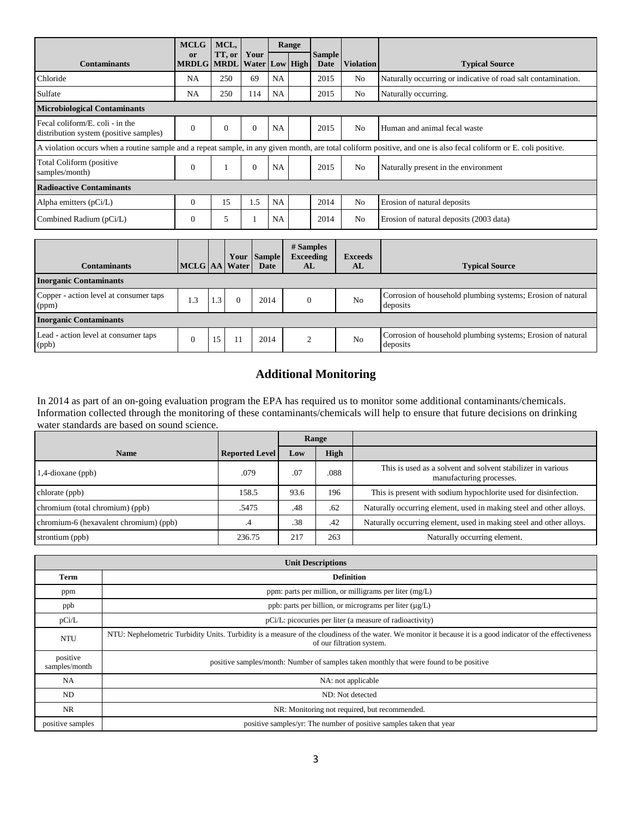| <b>MCLG</b>                                                                                                                                                        | MCL,                                   |          | Range        |           |  |                       |                  |                                                               |
|--------------------------------------------------------------------------------------------------------------------------------------------------------------------|----------------------------------------|----------|--------------|-----------|--|-----------------------|------------------|---------------------------------------------------------------|
| <b>Contaminants</b>                                                                                                                                                | or<br><b>MRDLG</b> MRDL Water Low High | TT, or   | Your         |           |  | <b>Sample</b><br>Date | <b>Violation</b> | <b>Typical Source</b>                                         |
| Chloride                                                                                                                                                           | <b>NA</b>                              | 250      | 69           | <b>NA</b> |  | 2015                  | N <sub>0</sub>   | Naturally occurring or indicative of road salt contamination. |
| Sulfate                                                                                                                                                            | <b>NA</b>                              | 250      | 114          | <b>NA</b> |  | 2015                  | No               | Naturally occurring.                                          |
| <b>Microbiological Contaminants</b>                                                                                                                                |                                        |          |              |           |  |                       |                  |                                                               |
| Fecal coliform/E, coli - in the<br>distribution system (positive samples)                                                                                          | $\Omega$                               | $\theta$ | $\theta$     | <b>NA</b> |  | 2015                  | No               | Human and animal fecal waste                                  |
| A violation occurs when a routine sample and a repeat sample, in any given month, are total coliform positive, and one is also fecal coliform or E. coli positive. |                                        |          |              |           |  |                       |                  |                                                               |
| Total Coliform (positive)<br>samples/month)                                                                                                                        | $\Omega$                               |          | $\mathbf{0}$ | <b>NA</b> |  | 2015                  | N <sub>0</sub>   | Naturally present in the environment                          |
| <b>Radioactive Contaminants</b>                                                                                                                                    |                                        |          |              |           |  |                       |                  |                                                               |
| Alpha emitters $(pCi/L)$                                                                                                                                           | $\Omega$                               | 15       | 1.5          | <b>NA</b> |  | 2014                  | N <sub>o</sub>   | Erosion of natural deposits                                   |
| Combined Radium (pCi/L)                                                                                                                                            | $\overline{0}$                         | 5        |              | NA        |  | 2014                  | N <sub>0</sub>   | Erosion of natural deposits (2003 data)                       |

| <b>Contaminants</b>                             | MCLG AA Water |     |  | Your Sample<br>Date | # Samples<br><b>Exceeding</b><br>AL | <b>Exceeds</b><br>AL | <b>Typical Source</b>                                                   |  |  |
|-------------------------------------------------|---------------|-----|--|---------------------|-------------------------------------|----------------------|-------------------------------------------------------------------------|--|--|
| <b>Inorganic Contaminants</b>                   |               |     |  |                     |                                     |                      |                                                                         |  |  |
| Copper - action level at consumer taps<br>(ppm) | 1.3           | 1.3 |  | 2014                |                                     | N <sub>0</sub>       | Corrosion of household plumbing systems; Erosion of natural<br>deposits |  |  |
| <b>Inorganic Contaminants</b>                   |               |     |  |                     |                                     |                      |                                                                         |  |  |
| Lead - action level at consumer taps<br>(ppb)   |               | 15  |  | 2014                |                                     | N <sub>0</sub>       | Corrosion of household plumbing systems; Erosion of natural<br>deposits |  |  |

# **Additional Monitoring**

In 2014 as part of an on-going evaluation program the EPA has required us to monitor some additional contaminants/chemicals. Information collected through the monitoring of these contaminants/chemicals will help to ensure that future decisions on drinking water standards are based on sound science.

|                                        |                       | Range |             |                                                                                         |
|----------------------------------------|-----------------------|-------|-------------|-----------------------------------------------------------------------------------------|
| <b>Name</b>                            | <b>Reported Level</b> | Low   | <b>High</b> |                                                                                         |
| 1,4-dioxane (ppb)                      | .079                  | .07   | .088        | This is used as a solvent and solvent stabilizer in various<br>manufacturing processes. |
| chlorate (ppb)                         | 158.5                 | 93.6  | 196         | This is present with sodium hypochlorite used for disinfection.                         |
| chromium (total chromium) (ppb)        | .5475                 | .48   | .62         | Naturally occurring element, used in making steel and other alloys.                     |
| chromium-6 (hexavalent chromium) (ppb) | .4                    | .38   | .42         | Naturally occurring element, used in making steel and other alloys.                     |
| strontium (ppb)                        | 236.75                | 217   | 263         | Naturally occurring element.                                                            |

| <b>Unit Descriptions</b>  |                                                                                                                                                                                           |  |  |  |  |  |  |
|---------------------------|-------------------------------------------------------------------------------------------------------------------------------------------------------------------------------------------|--|--|--|--|--|--|
| Term                      | <b>Definition</b>                                                                                                                                                                         |  |  |  |  |  |  |
| ppm                       | ppm: parts per million, or milligrams per liter (mg/L)                                                                                                                                    |  |  |  |  |  |  |
| ppb                       | ppb: parts per billion, or micrograms per liter $(\mu g/L)$                                                                                                                               |  |  |  |  |  |  |
| pCi/L                     | pCi/L: picocuries per liter (a measure of radioactivity)                                                                                                                                  |  |  |  |  |  |  |
| <b>NTU</b>                | NTU: Nephelometric Turbidity Units. Turbidity is a measure of the cloudiness of the water. We monitor it because it is a good indicator of the effectiveness<br>of our filtration system. |  |  |  |  |  |  |
| positive<br>samples/month | positive samples/month: Number of samples taken monthly that were found to be positive                                                                                                    |  |  |  |  |  |  |
| <b>NA</b>                 | NA: not applicable                                                                                                                                                                        |  |  |  |  |  |  |
| ND                        | ND: Not detected                                                                                                                                                                          |  |  |  |  |  |  |
| NR                        | NR: Monitoring not required, but recommended.                                                                                                                                             |  |  |  |  |  |  |
| positive samples          | positive samples/yr: The number of positive samples taken that year                                                                                                                       |  |  |  |  |  |  |